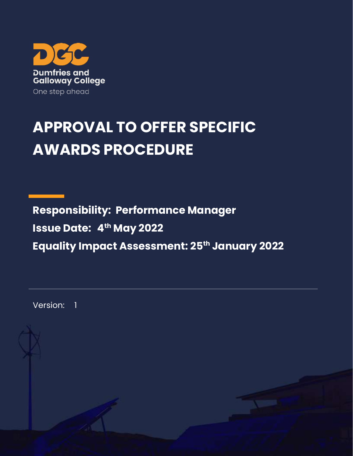

## **APPROVAL TO OFFER SPECIFIC AWARDS PROCEDURE**

**Responsibility: Performance Manager Issue Date: 4 th May 2022 Equality Impact Assessment: 25th January 2022**

Version: 1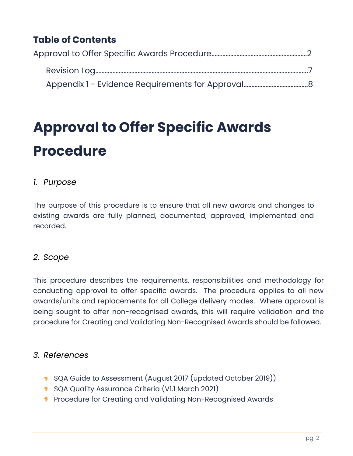### **Table of Contents**

# **Approval to Offer Specific Awards Procedure**

#### *1. Purpose*

The purpose of this procedure is to ensure that all new awards and changes to existing awards are fully planned, documented, approved, implemented and recorded.

#### *2. Scope*

This procedure describes the requirements, responsibilities and methodology for conducting approval to offer specific awards. The procedure applies to all new awards/units and replacements for all College delivery modes. Where approval is being sought to offer non-recognised awards, this will require validation and the procedure for Creating and Validating Non-Recognised Awards should be followed.

#### *3. References*

- **1** SQA Guide to Assessment (August 2017 (updated October 2019))
- **1** SQA Quality Assurance Criteria (VI.1 March 2021)
- **Procedure for Creating and Validating Non-Recognised Awards**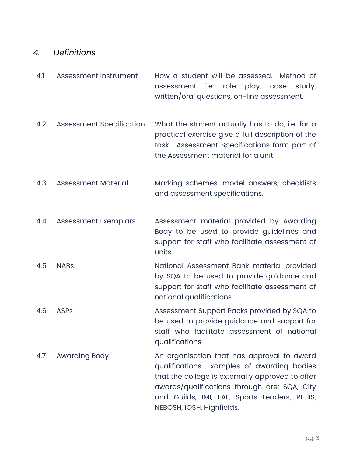#### *4. Definitions*

- 4.1 Assessment Instrument How a student will be assessed. Method of assessment i.e. role play, case study, written/oral questions, on-line assessment.
- 4.2 Assessment Specification What the student actually has to do, i.e. for a practical exercise give a full description of the task. Assessment Specifications form part of the Assessment material for a unit.
- 4.3 Assessment Material Marking schemes, model answers, checklists and assessment specifications.
- 4.4 Assessment Exemplars Assessment material provided by Awarding Body to be used to provide guidelines and support for staff who facilitate assessment of units.
- 4.5 NABs National Assessment Bank material provided by SQA to be used to provide guidance and support for staff who facilitate assessment of national qualifications.
- 4.6 ASPs Assessment Support Packs provided by SQA to be used to provide guidance and support for staff who facilitate assessment of national qualifications.
- 4.7 Awarding Body An organisation that has approval to award qualifications. Examples of awarding bodies that the college is externally approved to offer awards/qualifications through are: SQA, City and Guilds, IMI, EAL, Sports Leaders, REHIS, NEBOSH, IOSH, Highfields.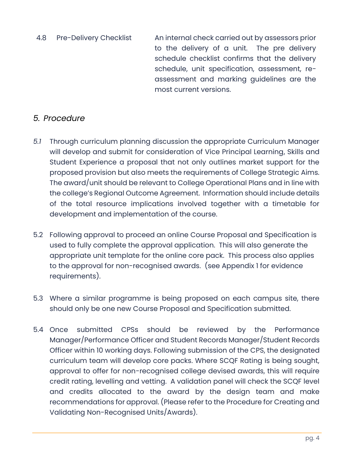4.8 Pre-Delivery Checklist An internal check carried out by assessors prior to the delivery of a unit. The pre delivery schedule checklist confirms that the delivery schedule, unit specification, assessment, reassessment and marking guidelines are the most current versions.

#### *5. Procedure*

- *5.1* Through curriculum planning discussion the appropriate Curriculum Manager will develop and submit for consideration of Vice Principal Learning, Skills and Student Experience a proposal that not only outlines market support for the proposed provision but also meets the requirements of College Strategic Aims. The award/unit should be relevant to College Operational Plans and in line with the college's Regional Outcome Agreement. Information should include details of the total resource implications involved together with a timetable for development and implementation of the course.
- 5.2 Following approval to proceed an online Course Proposal and Specification is used to fully complete the approval application. This will also generate the appropriate unit template for the online core pack. This process also applies to the approval for non-recognised awards. (see Appendix 1 for evidence requirements).
- 5.3 Where a similar programme is being proposed on each campus site, there should only be one new Course Proposal and Specification submitted.
- 5.4 Once submitted CPSs should be reviewed by the Performance Manager/Performance Officer and Student Records Manager/Student Records Officer within 10 working days. Following submission of the CPS, the designated curriculum team will develop core packs. Where SCQF Rating is being sought, approval to offer for non-recognised college devised awards, this will require credit rating, levelling and vetting. A validation panel will check the SCQF level and credits allocated to the award by the design team and make recommendations for approval. (Please refer to the Procedure for Creating and Validating Non-Recognised Units/Awards).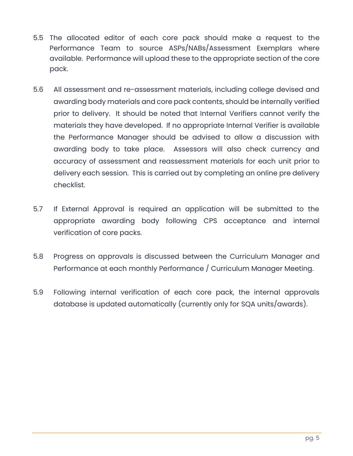- 5.5 The allocated editor of each core pack should make a request to the Performance Team to source ASPs/NABs/Assessment Exemplars where available. Performance will upload these to the appropriate section of the core pack.
- 5.6 All assessment and re-assessment materials, including college devised and awarding body materials and core pack contents, should be internally verified prior to delivery. It should be noted that Internal Verifiers cannot verify the materials they have developed. If no appropriate Internal Verifier is available the Performance Manager should be advised to allow a discussion with awarding body to take place. Assessors will also check currency and accuracy of assessment and reassessment materials for each unit prior to delivery each session. This is carried out by completing an online pre delivery checklist.
- 5.7 If External Approval is required an application will be submitted to the appropriate awarding body following CPS acceptance and internal verification of core packs.
- 5.8 Progress on approvals is discussed between the Curriculum Manager and Performance at each monthly Performance / Curriculum Manager Meeting.
- 5.9 Following internal verification of each core pack, the internal approvals database is updated automatically (currently only for SQA units/awards).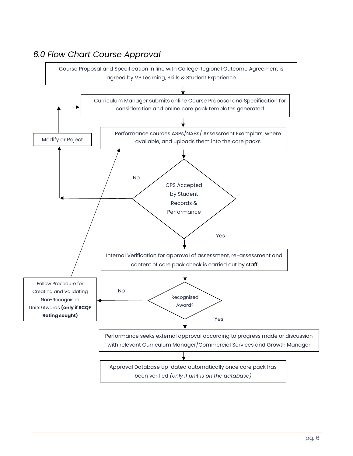

#### *6.0 Flow Chart Course Approval*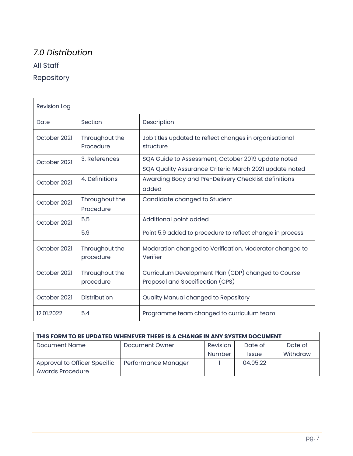### *7.0 Distribution* All Staff Repository

| <b>Revision Log</b> |                             |                                                                                                              |
|---------------------|-----------------------------|--------------------------------------------------------------------------------------------------------------|
| Date                | Section                     | Description                                                                                                  |
| October 2021        | Throughout the<br>Procedure | Job titles updated to reflect changes in organisational<br>structure                                         |
| October 2021        | 3. References               | SQA Guide to Assessment, October 2019 update noted<br>SQA Quality Assurance Criteria March 2021 update noted |
| October 2021        | 4. Definitions              | Awarding Body and Pre-Delivery Checklist definitions<br>added                                                |
| October 2021        | Throughout the<br>Procedure | Candidate changed to Student                                                                                 |
| October 2021        | 5.5<br>5.9                  | Additional point added<br>Point 5.9 added to procedure to reflect change in process                          |
| October 2021        | Throughout the<br>procedure | Moderation changed to Verification, Moderator changed to<br>Verifier                                         |
| October 2021        | Throughout the<br>procedure | Curriculum Development Plan (CDP) changed to Course<br>Proposal and Specification (CPS)                      |
| October 2021        | <b>Distribution</b>         | Quality Manual changed to Repository                                                                         |
| 12.01.2022          | 5.4                         | Programme team changed to curriculum team                                                                    |

| THIS FORM TO BE UPDATED WHENEVER THERE IS A CHANGE IN ANY SYSTEM DOCUMENT |                     |          |              |          |  |  |  |
|---------------------------------------------------------------------------|---------------------|----------|--------------|----------|--|--|--|
| <b>Document Name</b>                                                      | Document Owner      | Revision | Date of      | Date of  |  |  |  |
|                                                                           |                     | Number   | <b>Issue</b> | Withdraw |  |  |  |
| Approval to Officer Specific                                              | Performance Manager |          | 04.05.22     |          |  |  |  |
| <b>Awards Procedure</b>                                                   |                     |          |              |          |  |  |  |